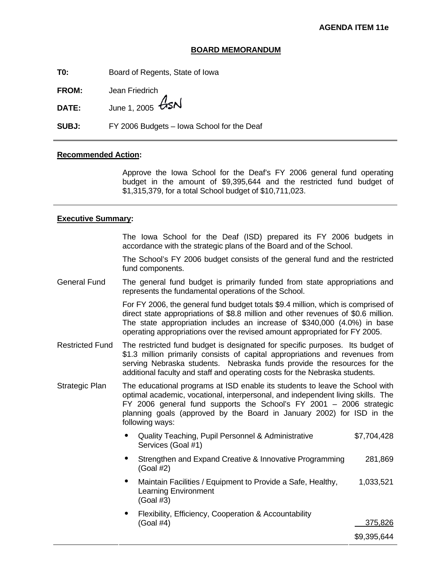## **BOARD MEMORANDUM**

**T0:** Board of Regents, State of Iowa

**FROM:** Jean Friedrich

**DATE:** June 1, 2005  $\cancel{G}$ SN

**SUBJ:** FY 2006 Budgets – Iowa School for the Deaf

#### **Recommended Action:**

Approve the Iowa School for the Deaf's FY 2006 general fund operating budget in the amount of \$9,395,644 and the restricted fund budget of \$1,315,379, for a total School budget of \$10,711,023.

#### **Executive Summary:**

 The Iowa School for the Deaf (ISD) prepared its FY 2006 budgets in accordance with the strategic plans of the Board and of the School.

The School's FY 2006 budget consists of the general fund and the restricted fund components.

General Fund The general fund budget is primarily funded from state appropriations and represents the fundamental operations of the School.

> For FY 2006, the general fund budget totals \$9.4 million, which is comprised of direct state appropriations of \$8.8 million and other revenues of \$0.6 million. The state appropriation includes an increase of \$340,000 (4.0%) in base operating appropriations over the revised amount appropriated for FY 2005.

- Restricted Fund The restricted fund budget is designated for specific purposes. Its budget of \$1.3 million primarily consists of capital appropriations and revenues from serving Nebraska students. Nebraska funds provide the resources for the additional faculty and staff and operating costs for the Nebraska students.
- The educational programs at ISD enable its students to leave the School with optimal academic, vocational, interpersonal, and independent living skills. The FY 2006 general fund supports the School's FY 2001 – 2006 strategic planning goals (approved by the Board in January 2002) for ISD in the following ways: Strategic Plan
	- Quality Teaching, Pupil Personnel & Administrative Services (Goal #1) \$7,704,428
	- Strengthen and Expand Creative & Innovative Programming (Goal #2) 281,869
	- Maintain Facilities / Equipment to Provide a Safe, Healthy, Learning Environment (Goal #3) 1,033,521
	- Flexibility, Efficiency, Cooperation & Accountability (Goal #4) 375,826

\$9,395,644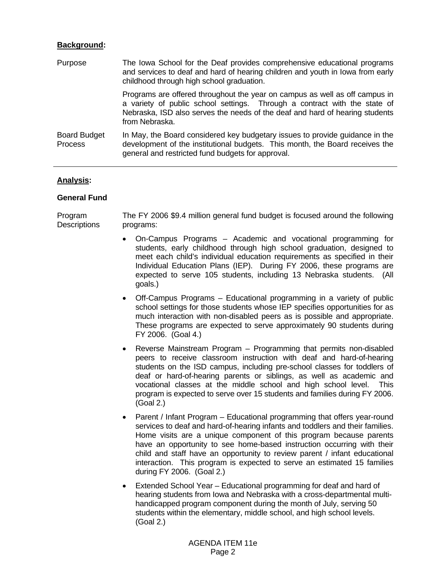## **Background:**

| Purpose                        | The lowa School for the Deaf provides comprehensive educational programs<br>and services to deaf and hard of hearing children and youth in lowa from early<br>childhood through high school graduation.                                                    |
|--------------------------------|------------------------------------------------------------------------------------------------------------------------------------------------------------------------------------------------------------------------------------------------------------|
|                                | Programs are offered throughout the year on campus as well as off campus in<br>a variety of public school settings. Through a contract with the state of<br>Nebraska, ISD also serves the needs of the deaf and hard of hearing students<br>from Nebraska. |
| <b>Board Budget</b><br>Process | In May, the Board considered key budgetary issues to provide guidance in the<br>development of the institutional budgets. This month, the Board receives the<br>general and restricted fund budgets for approval.                                          |

# **Analysis:**

# **General Fund**

Program **Descriptions** The FY 2006 \$9.4 million general fund budget is focused around the following programs:

- On-Campus Programs Academic and vocational programming for students, early childhood through high school graduation, designed to meet each child's individual education requirements as specified in their Individual Education Plans (IEP). During FY 2006, these programs are expected to serve 105 students, including 13 Nebraska students. (All goals.)
- Off-Campus Programs Educational programming in a variety of public school settings for those students whose IEP specifies opportunities for as much interaction with non-disabled peers as is possible and appropriate. These programs are expected to serve approximately 90 students during FY 2006. (Goal 4.)
- Reverse Mainstream Program Programming that permits non-disabled peers to receive classroom instruction with deaf and hard-of-hearing students on the ISD campus, including pre-school classes for toddlers of deaf or hard-of-hearing parents or siblings, as well as academic and vocational classes at the middle school and high school level. This program is expected to serve over 15 students and families during FY 2006. (Goal 2.)
- Parent / Infant Program Educational programming that offers year-round services to deaf and hard-of-hearing infants and toddlers and their families. Home visits are a unique component of this program because parents have an opportunity to see home-based instruction occurring with their child and staff have an opportunity to review parent / infant educational interaction. This program is expected to serve an estimated 15 families during FY 2006. (Goal 2.)
- Extended School Year Educational programming for deaf and hard of hearing students from Iowa and Nebraska with a cross-departmental multihandicapped program component during the month of July, serving 50 students within the elementary, middle school, and high school levels. (Goal 2.)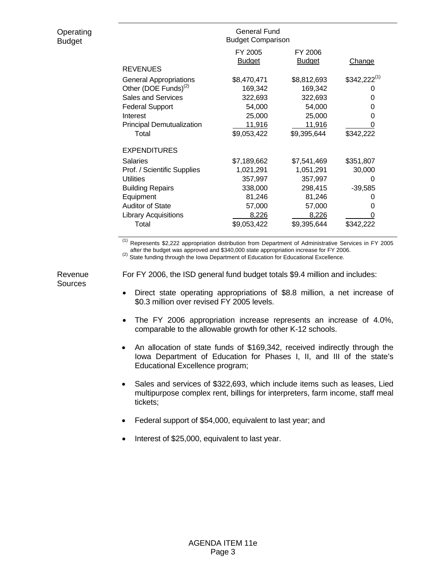|                                  | General Fund<br><b>Budget Comparison</b> |                          |                  |
|----------------------------------|------------------------------------------|--------------------------|------------------|
|                                  | FY 2005<br><b>Budget</b>                 | FY 2006<br><b>Budget</b> | Change           |
| <b>REVENUES</b>                  |                                          |                          |                  |
| <b>General Appropriations</b>    | \$8,470,471                              | \$8,812,693              | $$342,222^{(1)}$ |
| Other (DOE Funds) <sup>(2)</sup> | 169,342                                  | 169,342                  |                  |
| <b>Sales and Services</b>        | 322,693                                  | 322,693                  | 0                |
| <b>Federal Support</b>           | 54,000                                   | 54,000                   | 0                |
| Interest                         | 25,000                                   | 25,000                   | 0                |
| <b>Principal Demutualization</b> | 11,916                                   | 11,916                   |                  |
| Total                            | \$9,053,422                              | \$9,395,644              | \$342,222        |
| <b>EXPENDITURES</b>              |                                          |                          |                  |
| Salaries                         | \$7,189,662                              | \$7,541,469              | \$351,807        |
| Prof. / Scientific Supplies      | 1,021,291                                | 1,051,291                | 30,000           |
| <b>Utilities</b>                 | 357,997                                  | 357,997                  | $\Omega$         |
| <b>Building Repairs</b>          | 338,000                                  | 298,415                  | $-39,585$        |
| Equipment                        | 81,246                                   | 81,246                   |                  |
| <b>Auditor of State</b>          | 57,000                                   | 57,000                   | 0                |
| <b>Library Acquisitions</b>      | 8,226                                    | 8,226                    |                  |
| Total                            | \$9,053,422                              | \$9,395,644              | \$342,222        |

(1) Represents \$2,222 appropriation distribution from Department of Administrative Services in FY 2005 After the budget was approved and \$340,000 state appropriation increase for FY 2006.<br>
(2) State funding through the Iowa Department of Education for Educational Excellence.

Revenue **Sources** 

**Operating** Budget

For FY 2006, the ISD general fund budget totals \$9.4 million and includes:

- Direct state operating appropriations of \$8.8 million, a net increase of \$0.3 million over revised FY 2005 levels.
- The FY 2006 appropriation increase represents an increase of 4.0%, comparable to the allowable growth for other K-12 schools.
- An allocation of state funds of \$169,342, received indirectly through the Iowa Department of Education for Phases I, II, and III of the state's Educational Excellence program;
- Sales and services of \$322,693, which include items such as leases, Lied multipurpose complex rent, billings for interpreters, farm income, staff meal tickets;
- Federal support of \$54,000, equivalent to last year; and
- Interest of \$25,000, equivalent to last year.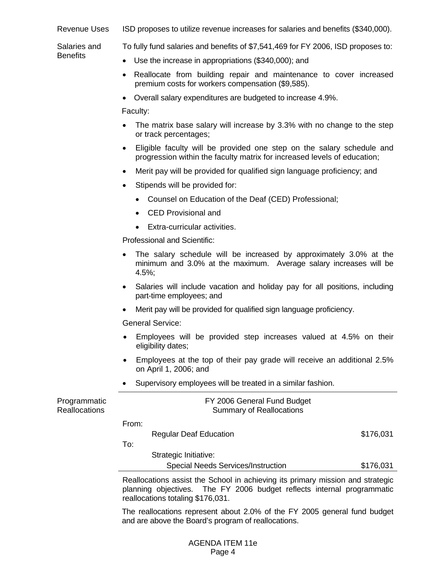| Revenue Uses | ISD proposes to utilize revenue increases for salaries and benefits (\$340,000). |  |  |
|--------------|----------------------------------------------------------------------------------|--|--|
|--------------|----------------------------------------------------------------------------------|--|--|

Salaries and **Benefits** To fully fund salaries and benefits of \$7,541,469 for FY 2006, ISD proposes to:

- Use the increase in appropriations (\$340,000); and
- Reallocate from building repair and maintenance to cover increased premium costs for workers compensation (\$9,585).
- Overall salary expenditures are budgeted to increase 4.9%.

Faculty:

- The matrix base salary will increase by 3.3% with no change to the step or track percentages;
- Eligible faculty will be provided one step on the salary schedule and progression within the faculty matrix for increased levels of education;
- Merit pay will be provided for qualified sign language proficiency; and
- Stipends will be provided for:
	- Counsel on Education of the Deaf (CED) Professional;
	- CED Provisional and
	- Extra-curricular activities.

Professional and Scientific:

- The salary schedule will be increased by approximately 3.0% at the minimum and 3.0% at the maximum. Average salary increases will be 4.5%;
- Salaries will include vacation and holiday pay for all positions, including part-time employees; and
- Merit pay will be provided for qualified sign language proficiency.

General Service:

- Employees will be provided step increases valued at 4.5% on their eligibility dates;
- Employees at the top of their pay grade will receive an additional 2.5% on April 1, 2006; and
- Supervisory employees will be treated in a similar fashion.

| Programmatic<br><b>Reallocations</b> |       | FY 2006 General Fund Budget<br><b>Summary of Reallocations</b> |           |  |
|--------------------------------------|-------|----------------------------------------------------------------|-----------|--|
|                                      | From: |                                                                |           |  |
|                                      |       | <b>Regular Deaf Education</b>                                  | \$176,031 |  |
|                                      | To:   |                                                                |           |  |
|                                      |       | Strategic Initiative:                                          |           |  |
|                                      |       | <b>Special Needs Services/Instruction</b>                      | \$176,031 |  |
|                                      |       |                                                                |           |  |

 Reallocations assist the School in achieving its primary mission and strategic planning objectives. The FY 2006 budget reflects internal programmatic reallocations totaling \$176,031.

The reallocations represent about 2.0% of the FY 2005 general fund budget and are above the Board's program of reallocations.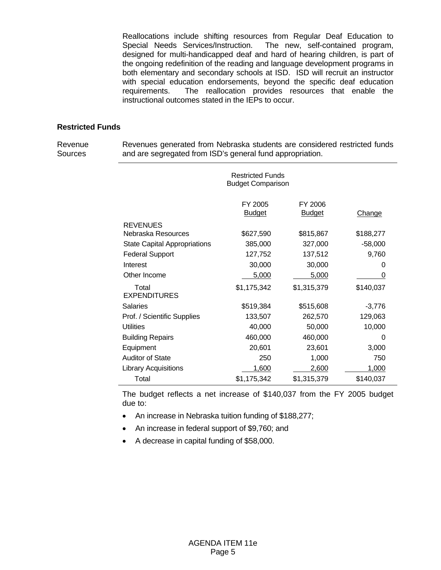Reallocations include shifting resources from Regular Deaf Education to Special Needs Services/Instruction. The new, self-contained program, designed for multi-handicapped deaf and hard of hearing children, is part of the ongoing redefinition of the reading and language development programs in both elementary and secondary schools at ISD. ISD will recruit an instructor with special education endorsements, beyond the specific deaf education requirements. The reallocation provides resources that enable the instructional outcomes stated in the IEPs to occur.

# **Restricted Funds**

Revenue **Sources** 

Revenues generated from Nebraska students are considered restricted funds and are segregated from ISD's general fund appropriation.

|                                     | <b>Restricted Funds</b><br><b>Budget Comparison</b> |                          |               |
|-------------------------------------|-----------------------------------------------------|--------------------------|---------------|
|                                     | FY 2005<br><b>Budget</b>                            | FY 2006<br><b>Budget</b> | <b>Change</b> |
| <b>REVENUES</b>                     |                                                     |                          |               |
| Nebraska Resources                  | \$627,590                                           | \$815,867                | \$188,277     |
| <b>State Capital Appropriations</b> | 385,000                                             | 327,000                  | $-58,000$     |
| <b>Federal Support</b>              | 127,752                                             | 137,512                  | 9,760         |
| Interest                            | 30,000                                              | 30,000                   | 0             |
| Other Income                        | 5,000                                               | 5,000                    | 0             |
| Total<br><b>EXPENDITURES</b>        | \$1,175,342                                         | \$1,315,379              | \$140,037     |
| <b>Salaries</b>                     | \$519,384                                           | \$515,608                | $-3,776$      |
| Prof. / Scientific Supplies         | 133,507                                             | 262,570                  | 129,063       |
| <b>Utilities</b>                    | 40,000                                              | 50,000                   | 10,000        |
| <b>Building Repairs</b>             | 460,000                                             | 460,000                  | 0             |
| Equipment                           | 20,601                                              | 23,601                   | 3,000         |
| <b>Auditor of State</b>             | 250                                                 | 1,000                    | 750           |
| <b>Library Acquisitions</b>         | 1,600                                               | 2,600                    | 1,000         |
| Total                               | \$1,175,342                                         | \$1,315,379              | \$140,037     |

The budget reflects a net increase of \$140,037 from the FY 2005 budget due to:

- An increase in Nebraska tuition funding of \$188,277;
- An increase in federal support of \$9,760; and
- A decrease in capital funding of \$58,000.